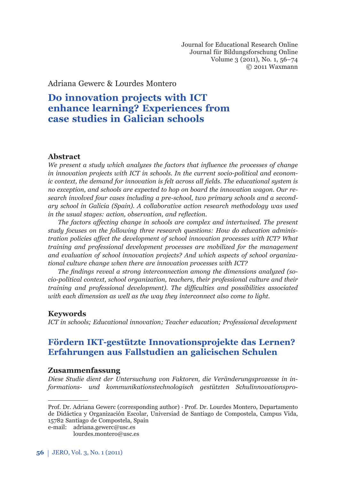Journal for Educational Research Online Journal für Bildungsforschung Online Volume 3 (2011), No. 1, 56–74 © 2011 Waxmann

Adriana Gewerc & Lourdes Montero

# **Do innovation projects with ICT enhance learning? Experiences from case studies in Galician schools**

### Abstract

*We present a study which analyzes the factors that influence the processes of change in innovation projects with ICT in schools. In the current socio-political and economic context, the demand for innovation is felt across all fields. The educational system is no exception, and schools are expected to hop on board the innovation wagon. Our research involved four cases including a pre-school, two primary schools and a secondary school in Galicia (Spain). A collaborative action research methodology was used in the usual stages: action, observation, and reflection.* 

*The factors affecting change in schools are complex and intertwined. The present study focuses on the following three research questions: How do education administration policies affect the development of school innovation processes with ICT? What training and professional development processes are mobilized for the management and evaluation of school innovation projects? And which aspects of school organizational culture change when there are innovation processes with ICT?* 

The findings reveal a strong interconnection among the dimensions analyzed (so*cio-political context, school organization, teachers, their professional culture and their training and professional development*). The difficulties and possibilities associated *with each dimension as well as the way they interconnect also come to light.* 

### **Keywords**

*ICT in schools; Educational innovation; Teacher education; Professional development*

## **Fördern IKT-gestützte Innovationsprojekte das Lernen? Erfahrungen aus Fallstudien an galicischen Schulen**

### **Zusammenfassung**

*Diese Studie dient der Untersuchung von Faktoren, die Ver ände rungs prozesse in in*formations- und kommunikationstechnologisch gestützten Schulinnovationspro-

Prof. Dr. Adriana Gewerc (corresponding author) · Prof. Dr. Lourdes Montero, Departamento de Didáctica y Organización Escolar, Universiad de Santiago de Compostela, Campus Vida, 15782 Santiago de Compostela, Spain

e-mail: adriana.gewerc@usc.es

lourdes.montero@usc.es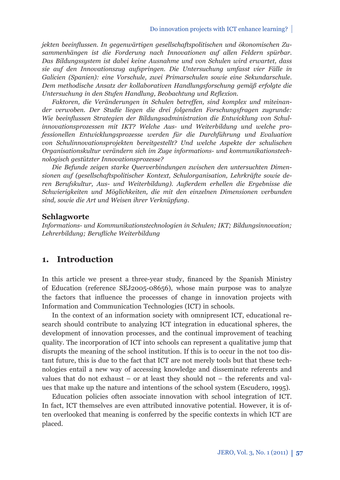jekten beeinflussen. In gegenwärtigen gesellschaftspolitischen und ökonomischen Zu*sammen hängen ist die Forderung nach Innovationen auf allen Feldern spürbar. Das Bildungssystem ist dabei keine Ausnahme und von Schulen wird erwartet, dass sie auf den Innovationszug aufspringen. Die Untersuchung umfasst vier Fälle in Galicien (Spanien): eine Vorschule, zwei Primarschulen sowie eine Sekundarschule. Dem methodische Ansatz der kollaborativen Handlungsforschung gemäß erfolgte die Untersuchung in den Stufen Handlung, Beobachtung und Reflexion.* 

*Faktoren, die Veränderungen in Schulen betreffen, sind komplex und miteinander verwoben. Der Studie liegen die drei folgenden For schungsfragen zugrunde:*  Wie beeinflussen Strategien der Bildungsadministration die Entwicklung von Schulinnovationsprozessen mit IKT? Welche Aus- und Weiterbildung und welche pro*fessionellen Entwicklungsprozesse werden für die Durch führung und Evaluation von Schulinnovationsprojekten bereitgestellt? Und welche Aspekte der schulischen Organisationskultur verändern sich im Zuge informations- und kommunikationstechnologisch gestützter Innovationsprozesse?*

*Die Befunde zeigen starke Querverbindungen zwischen den untersuchten Dimensionen auf (gesellschaftspolitischer Kontext, Schulorganisation, Lehrkräfte sowie deren Berufskultur, Aus- und Weiterbildung). Außerdem erhellen die Ergebnisse die Schwierigkeiten und Möglichkeiten, die mit den einzelnen Dimensionen verbunden sind, sowie die Art und Weisen ihrer Verknüpfung.*

#### **Schlagworte**

*Informations- und Kommunikationstechnologien in Schulen; IKT; Bildungsinnovation; Lehrerbildung; Berufl iche Weiterbildung*

### **1. Introduction**

In this article we present a three-year study, financed by the Spanish Ministry of Education (reference SEJ2005-08656), whose main purpose was to analyze the factors that influence the processes of change in innovation projects with Information and Communication Technologies (ICT) in schools.

In the context of an information society with omnipresent ICT, educational research should contribute to analyzing ICT integration in educational spheres, the development of innovation processes, and the continual improvement of teaching quality. The incorporation of ICT into schools can represent a qualitative jump that disrupts the meaning of the school institution. If this is to occur in the not too distant future, this is due to the fact that ICT are not merely tools but that these technologies entail a new way of accessing knowledge and disseminate referents and values that do not exhaust – or at least they should not – the referents and values that make up the nature and intentions of the school system (Escudero, 1995).

Education policies often associate innovation with school integration of ICT. In fact, ICT themselves are even attributed innovative potential. However, it is often overlooked that meaning is conferred by the specific contexts in which ICT are placed.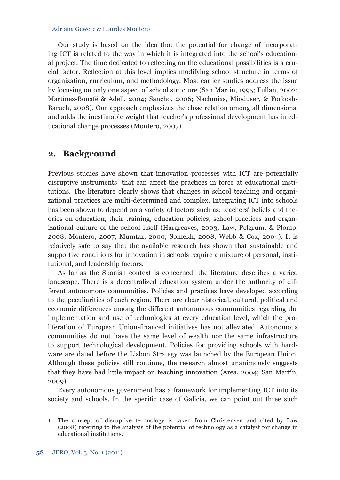Our study is based on the idea that the potential for change of incorporating ICT is related to the way in which it is integrated into the school's educational project. The time dedicated to reflecting on the educational possibilities is a crucial factor. Reflection at this level implies modifying school structure in terms of organization, curriculum, and methodology. Most earlier studies address the issue by focusing on only one aspect of school structure (San Martín, 1995; Fullan, 2002; Martínez-Bonafé & Adell, 2004; Sancho, 2006; Nachmias, Mioduser, & Forkosh-Baruch, 2008). Our approach emphasizes the close relation among all dimensions, and adds the inestimable weight that teacher's professional development has in educational change processes (Montero, 2007).

### **2. Background**

Previous studies have shown that innovation processes with ICT are potentially disruptive instruments<sup>1</sup> that can affect the practices in force at educational institutions. The literature clearly shows that changes in school teaching and organizational practices are multi-determined and complex. Integrating ICT into schools has been shown to depend on a variety of factors such as: teachers' beliefs and theories on education, their training, education policies, school practices and organizational culture of the school itself (Hargreaves, 2003; Law, Pelgrum, & Plomp, 2008; Montero, 2007; Mumtaz, 2000; Somekh, 2008; Webb & Cox, 2004). It is relatively safe to say that the available research has shown that sustainable and supportive conditions for innovation in schools require a mixture of personal, institutional, and leadership factors.

As far as the Spanish context is concerned, the literature describes a varied landscape. There is a decentralized education system under the authority of different autonomous communities. Policies and practices have developed according to the peculiarities of each region. There are clear historical, cultural, political and economic differences among the different autonomous communities regarding the implementation and use of technologies at every education level, which the proliferation of European Union-financed initiatives has not alleviated. Autonomous communities do not have the same level of wealth nor the same infrastructure to support technological development. Policies for providing schools with hardware are dated before the Lisbon Strategy was launched by the European Union. Although these policies still continue, the research almost unanimously suggests that they have had little impact on teaching innovation (Area, 2004; San Martín, 2009).

Every autonomous government has a framework for implementing ICT into its society and schools. In the specific case of Galicia, we can point out three such

<sup>1</sup> The concept of disruptive technology is taken from Christensen and cited by Law (2008) referring to the analysis of the potential of technology as a catalyst for change in educational institutions.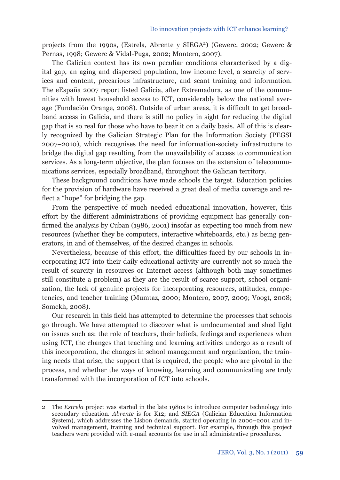projects from the 1990s, (Estrela, Abrente y SIEGA2) (Gewerc, 2002; Gewerc & Pernas, 1998; Gewerc & Vidal-Puga, 2002; Montero, 2007).

The Galician context has its own peculiar conditions characterized by a digital gap, an aging and dispersed population, low income level, a scarcity of services and content, precarious infrastructure, and scant training and information. The eEspaña 2007 report listed Galicia, after Extremadura, as one of the communities with lowest household access to ICT, considerably below the national average (Fundación Orange, 2008). Outside of urban areas, it is difficult to get broadband access in Galicia, and there is still no policy in sight for reducing the digital gap that is so real for those who have to bear it on a daily basis. All of this is clearly recognized by the Galician Strategic Plan for the Information Society (PEGSI 2007–2010), which recognises the need for information-society infrastructure to bridge the digital gap resulting from the unavailability of access to communication services. As a long-term objective, the plan focuses on the extension of telecommunications services, especially broadband, throughout the Galician territory.

These background conditions have made schools the target. Education policies for the provision of hardware have received a great deal of media coverage and reflect a "hope" for bridging the gap.

From the perspective of much needed educational innovation, however, this effort by the different administrations of providing equipment has generally confirmed the analysis by Cuban (1986, 2001) insofar as expecting too much from new resources (whether they be computers, interactive whiteboards, etc.) as being generators, in and of themselves, of the desired changes in schools.

Nevertheless, because of this effort, the difficulties faced by our schools in incorporating ICT into their daily educational activity are currently not so much the result of scarcity in resources or Internet access (although both may sometimes still constitute a problem) as they are the result of scarce support, school organization, the lack of genuine projects for incorporating resources, attitudes, competencies, and teacher training (Mumtaz, 2000; Montero, 2007, 2009; Voogt, 2008; Somekh, 2008).

Our research in this field has attempted to determine the processes that schools go through. We have attempted to discover what is undocumented and shed light on issues such as: the role of teachers, their beliefs, feelings and experiences when using ICT, the changes that teaching and learning activities undergo as a result of this incorporation, the changes in school management and organization, the training needs that arise, the support that is required, the people who are pivotal in the process, and whether the ways of knowing, learning and communicating are truly transformed with the incorporation of ICT into schools.

<sup>2</sup> The *Estrela* project was started in the late 1980s to introduce computer technology into secondary education. *Abrente* is for K12; and *SIEGA* (Galician Education Information System), which addresses the Lisbon demands, started operating in 2000–2001 and involved management, training and technical support. For example, through this project teachers were provided with e-mail accounts for use in all administrative procedures.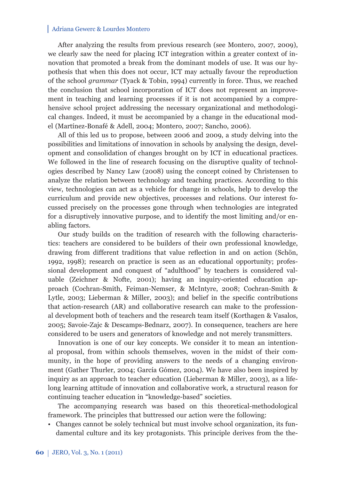After analyzing the results from previous research (see Montero, 2007, 2009), we clearly saw the need for placing ICT integration within a greater context of innovation that promoted a break from the dominant models of use. It was our hypothesis that when this does not occur, ICT may actually favour the reproduction of the school *grammar* (Tyack & Tobin, 1994) currently in force. Thus, we reached the conclusion that school incorporation of ICT does not represent an improvement in teaching and learning processes if it is not accompanied by a comprehensive school project addressing the necessary organizational and methodological changes. Indeed, it must be accompanied by a change in the educational model (Martínez-Bonafé & Adell, 2004; Montero, 2007; Sancho, 2006).

All of this led us to propose, between 2006 and 2009, a study delving into the possibilities and limitations of innovation in schools by analysing the design, development and consolidation of changes brought on by ICT in educational practices. We followed in the line of research focusing on the disruptive quality of technologies described by Nancy Law (2008) using the concept coined by Christensen to analyze the relation between technology and teaching practices. According to this view, technologies can act as a vehicle for change in schools, help to develop the curriculum and provide new objectives, processes and relations. Our interest focussed precisely on the processes gone through when technologies are integrated for a disruptively innovative purpose, and to identify the most limiting and/or enabling factors.

Our study builds on the tradition of research with the following characteristics: teachers are considered to be builders of their own professional knowledge, drawing from different traditions that value reflection in and on action (Schön, 1992, 1998); research on practice is seen as an educational opportunity; professional development and conquest of "adulthood" by teachers is considered valuable (Zeichner & Nofte, 2001); having an inquiry-oriented education approach (Cochran-Smith, Feiman-Nemser, & McIntyre, 2008; Cochran-Smith & Lytle, 2003; Lieberman & Miller, 2003); and belief in the specific contributions that action-research (AR) and collaborative research can make to the professional development both of teachers and the research team itself (Korthagen & Vasalos, 2005; Savoie-Zajc & Descamps-Bednarz, 2007). In consequence, teachers are here considered to be users and generators of knowledge and not merely transmitters.

Innovation is one of our key concepts. We consider it to mean an intentional proposal, from within schools themselves, woven in the midst of their community, in the hope of providing answers to the needs of a changing environment (Gather Thurler, 2004; García Gómez, 2004). We have also been inspired by inquiry as an approach to teacher education (Lieberman & Miller, 2003), as a lifelong learning attitude of innovation and collaborative work, a structural reason for continuing teacher education in "knowledge-based" societies.

The accompanying research was based on this theoretical-methodological frame work. The principles that buttressed our action were the following:

• Changes cannot be solely technical but must involve school organization, its fundamental culture and its key protagonists. This principle derives from the the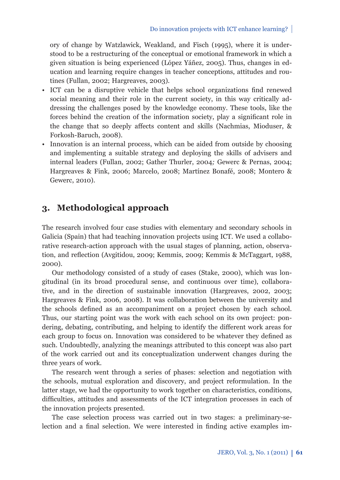ory of change by Watzlawick, Weakland, and Fisch (1995), where it is understood to be a restructuring of the conceptual or emotional framework in which a given situation is being experienced (López Yáñez, 2005). Thus, changes in education and learning require changes in teacher conceptions, attitudes and routines (Fullan, 2002; Hargreaves, 2003).

- ICT can be a disruptive vehicle that helps school organizations find renewed social meaning and their role in the current society, in this way critically addressing the challenges posed by the knowledge economy. These tools, like the forces behind the creation of the information society, play a significant role in the change that so deeply affects content and skills (Nachmias, Mioduser, & Forkosh-Baruch, 2008).
- Innovation is an internal process, which can be aided from outside by choosing and implementing a suitable strategy and deploying the skills of advisers and internal leaders (Fullan, 2002; Gather Thurler, 2004*;* Gewerc & Pernas, 2004; Hargreaves & Fink, 2006; Marcelo, 2008; Martínez Bonafé, 2008; Montero & Gewerc, 2010).

## **3. Methodological approach**

The research involved four case studies with elementary and secondary schools in Galicia (Spain) that had teaching innovation projects using ICT. We used a collaborative research-action approach with the usual stages of planning, action, observation, and reflection (Avgitidou, 2009; Kemmis, 2009; Kemmis & McTaggart, 1988, 2000).

Our methodology consisted of a study of cases (Stake, 2000), which was longitudinal (in its broad procedural sense, and continuous over time), collaborative, and in the direction of sustainable innovation (Hargreaves, 2002, 2003; Hargreaves & Fink, 2006, 2008). It was collaboration between the university and the schools defined as an accompaniment on a project chosen by each school. Thus, our starting point was the work with each school on its own project: pondering, debating, contributing, and helping to identify the different work areas for each group to focus on. Innovation was considered to be whatever they defined as such. Undoubtedly, analyzing the meanings attributed to this concept was also part of the work carried out and its conceptualization underwent changes during the three years of work.

The research went through a series of phases: selection and negotiation with the schools, mutual exploration and discovery, and project reformulation. In the latter stage, we had the opportunity to work together on characteristics, conditions, difficulties, attitudes and assessments of the ICT integration processes in each of the innovation projects presented.

The case selection process was carried out in two stages: a preliminary-selection and a final selection. We were interested in finding active examples im-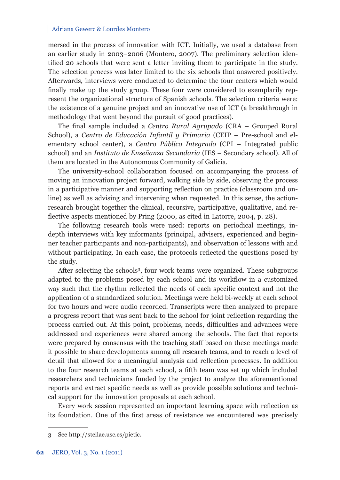mersed in the process of innovation with ICT. Initially, we used a database from an earlier study in 2003–2006 (Montero, 2007). The preliminary selection identified 20 schools that were sent a letter inviting them to participate in the study. The selection process was later limited to the six schools that answered positively. Afterwards, interviews were conducted to determine the four centers which would finally make up the study group. These four were considered to exemplarily represent the organizational structure of Spanish schools. The selection criteria were: the existence of a genuine project and an innovative use of ICT (a breakthrough in methodology that went beyond the pursuit of good practices).

The final sample included a *Centro Rural Agrupado* (CRA – Grouped Rural School), a *Centro de Educación Infantil y Primaria* (CEIP – Pre-school and elementary school center), a *Centro Público Integrado* (CPI – Integrated public school) and an *Instituto de Enseñanza Secundaria* (IES – Secondary school). All of them are located in the Autonomous Community of Galicia.

The university-school collaboration focused on accompanying the process of moving an innovation project forward, walking side by side, observing the process in a participative manner and supporting reflection on practice (classroom and online) as well as advising and intervening when requested. In this sense, the actionresearch brought together the clinical, recursive, participative, qualitative, and reflective aspects mentioned by Pring (2000, as cited in Latorre, 2004, p. 28).

The following research tools were used: reports on periodical meetings, indepth interviews with key informants (principal, advisers, experienced and beginner teacher participants and non-participants), and observation of lessons with and without participating. In each case, the protocols reflected the questions posed by the study.

After selecting the schools<sup>3</sup>, four work teams were organized. These subgroups adapted to the problems posed by each school and its workflow in a customized way such that the rhythm reflected the needs of each specific context and not the application of a standardized solution. Meetings were held bi-weekly at each school for two hours and were audio recorded. Transcripts were then analyzed to prepare a progress report that was sent back to the school for joint reflection regarding the process carried out. At this point, problems, needs, difficulties and advances were addressed and experiences were shared among the schools. The fact that reports were prepared by consensus with the teaching staff based on these meetings made it possible to share developments among all research teams, and to reach a level of detail that allowed for a meaningful analysis and reflection processes. In addition to the four research teams at each school, a fifth team was set up which included researchers and technicians funded by the project to analyze the aforementioned reports and extract specific needs as well as provide possible solutions and technical support for the innovation proposals at each school.

Every work session represented an important learning space with reflection as its foundation. One of the first areas of resistance we encountered was precisely

<sup>3</sup> See http://stellae.usc.es/pietic.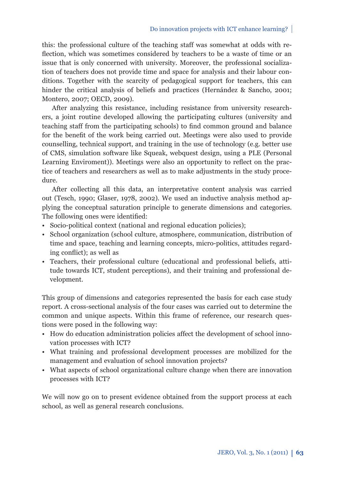### Do innovation projects with ICT enhance learning?

this: the professional culture of the teaching staff was somewhat at odds with reflection, which was sometimes considered by teachers to be a waste of time or an issue that is only concerned with university. Moreover, the professional socialization of teachers does not provide time and space for analysis and their labour conditions. Together with the scarcity of pedagogical support for teachers, this can hinder the critical analysis of beliefs and practices (Hernández & Sancho, 2001; Montero, 2007; OECD, 2009).

After analyzing this resistance, including resistance from university researchers, a joint routine developed allowing the participating cultures (university and teaching staff from the participating schools) to find common ground and balance for the benefit of the work being carried out. Meetings were also used to provide counselling, technical support, and training in the use of technology (e.g. better use of CMS, simulation software like Squeak, webquest design, using a PLE (Personal Learning Enviroment)). Meetings were also an opportunity to reflect on the practice of teachers and researchers as well as to make adjustments in the study procedure.

After collecting all this data, an interpretative content analysis was carried out (Tesch, 1990; Glaser, 1978, 2002). We used an inductive analysis method applying the conceptual saturation principle to generate dimensions and categories. The following ones were identified:

- Socio-political context (national and regional education policies);
- School organization (school culture, atmosphere, communication, distribution of time and space, teaching and learning concepts, micro-politics, attitudes regarding conflict); as well as
- Teachers, their professional culture (educational and professional beliefs, attitude towards ICT, student perceptions), and their training and professional development.

This group of dimensions and categories represented the basis for each case study report. A cross-sectional analysis of the four cases was carried out to determine the common and unique aspects. Within this frame of reference, our research questions were posed in the following way:

- How do education administration policies affect the development of school innovation processes with ICT?
- What training and professional development processes are mobilized for the management and evaluation of school innovation projects?
- What aspects of school organizational culture change when there are innovation processes with ICT?

We will now go on to present evidence obtained from the support process at each school, as well as general research conclusions.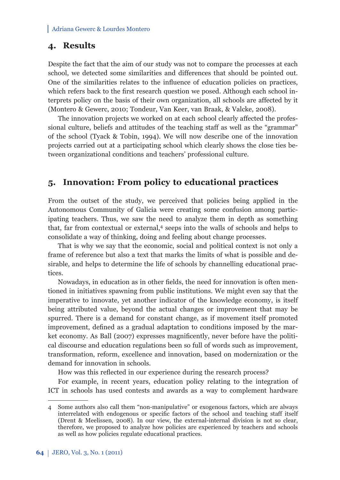### **4. Results**

Despite the fact that the aim of our study was not to compare the processes at each school, we detected some similarities and differences that should be pointed out. One of the similarities relates to the influence of education policies on practices, which refers back to the first research question we posed. Although each school interprets policy on the basis of their own organization, all schools are affected by it (Montero & Gewerc, 2010; Tondeur, Van Keer, van Braak, & Valcke, 2008).

The innovation projects we worked on at each school clearly affected the professional culture, beliefs and attitudes of the teaching staff as well as the "grammar" of the school (Tyack & Tobin, 1994). We will now describe one of the innovation projects carried out at a participating school which clearly shows the close ties between organizational conditions and teachers' professional culture.

### **5. Innovation: From policy to educational practices**

From the outset of the study, we perceived that policies being applied in the Autonomous Community of Galicia were creating some confusion among participating teachers. Thus, we saw the need to analyze them in depth as something that, far from contextual or external,<sup>4</sup> seeps into the walls of schools and helps to consolidate a way of thinking, doing and feeling about change processes.

That is why we say that the economic, social and political context is not only a frame of reference but also a text that marks the limits of what is possible and desirable, and helps to determine the life of schools by channelling educational practices.

Nowadays, in education as in other fields, the need for innovation is often mentioned in initiatives spawning from public institutions. We might even say that the imperative to innovate, yet another indicator of the knowledge economy, is itself being attributed value, beyond the actual changes or improvement that may be spurred. There is a demand for constant change, as if movement itself promoted improvement, defined as a gradual adaptation to conditions imposed by the market economy. As Ball (2007) expresses magnificently, never before have the political discourse and education regulations been so full of words such as improvement, transformation, reform, excellence and innovation, based on modernization or the demand for innovation in schools.

How was this reflected in our experience during the research process?

For example, in recent years, education policy relating to the integration of ICT in schools has used contests and awards as a way to complement hardware

<sup>4</sup> Some authors also call them "non-manipulative" or exogenous factors, which are always interrelated with endogenous or specific factors of the school and teaching staff itself (Drent & Meelissen, 2008). In our view, the external-internal division is not so clear, therefore, we proposed to analyze how policies are experienced by teachers and schools as well as how policies regulate educational practices.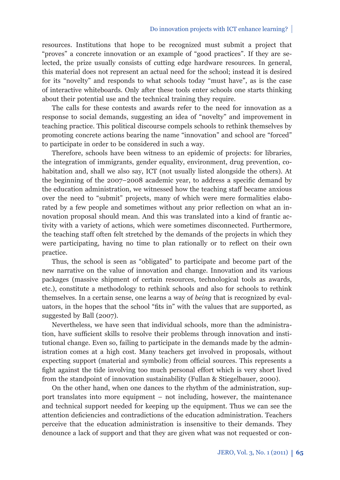#### Do innovation projects with ICT enhance learning?

resources. Institutions that hope to be recognized must submit a project that "proves" a concrete innovation or an example of "good practices". If they are selected, the prize usually consists of cutting edge hardware resources. In general, this material does not represent an actual need for the school; instead it is desired for its "novelty" and responds to what schools today "must have", as is the case of interactive whiteboards. Only after these tools enter schools one starts thinking about their potential use and the technical training they require.

The calls for these contests and awards refer to the need for innovation as a response to social demands, suggesting an idea of "novelty" and improvement in teaching practice. This political discourse compels schools to rethink themselves by promoting concrete actions bearing the name "innovation" and school are "forced" to participate in order to be considered in such a way.

Therefore, schools have been witness to an epidemic of projects: for libraries, the integration of immigrants, gender equality, environment, drug prevention, cohabitation and, shall we also say, ICT (not usually listed alongside the others). At the beginning of the 2007–2008 academic year, to address a specific demand by the education administration, we witnessed how the teaching staff became anxious over the need to "submit" projects, many of which were mere formalities elaborated by a few people and sometimes without any prior reflection on what an innovation proposal should mean. And this was translated into a kind of frantic activity with a variety of actions, which were sometimes disconnected. Furthermore, the teaching staff often felt stretched by the demands of the projects in which they were participating, having no time to plan rationally or to reflect on their own practice.

Thus, the school is seen as "obligated" to participate and become part of the new narrative on the value of innovation and change. Innovation and its various packages (massive shipment of certain resources, technological tools as awards, etc.), constitute a methodology to rethink schools and also for schools to rethink themselves. In a certain sense, one learns a way of *being* that is recognized by evaluators, in the hopes that the school "fits in" with the values that are supported, as suggested by Ball (2007).

Nevertheless, we have seen that individual schools, more than the administration, have sufficient skills to resolve their problems through innovation and institutional change. Even so, failing to participate in the demands made by the administration comes at a high cost. Many teachers get involved in proposals, without expecting support (material and symbolic) from official sources. This represents a fight against the tide involving too much personal effort which is very short lived from the standpoint of innovation sustainability (Fullan & Stiegelbauer, 2000).

On the other hand, when one dances to the rhythm of the administration, support translates into more equipment – not including, however, the maintenance and technical support needed for keeping up the equipment. Thus we can see the attention deficiencies and contradictions of the education administration. Teachers perceive that the education administration is insensitive to their demands. They denounce a lack of support and that they are given what was not requested or con-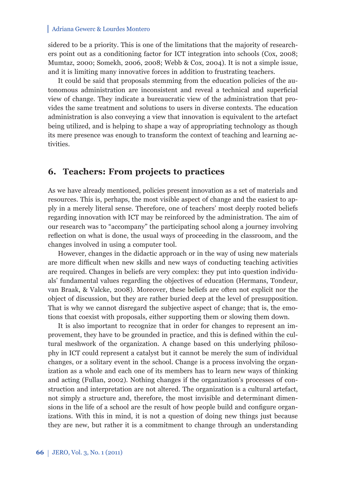sidered to be a priority. This is one of the limitations that the majority of researchers point out as a conditioning factor for ICT integration into schools (Cox, 2008; Mumtaz, 2000; Somekh, 2006, 2008; Webb & Cox, 2004). It is not a simple issue, and it is limiting many innovative forces in addition to frustrating teachers.

It could be said that proposals stemming from the education policies of the autonomous administration are inconsistent and reveal a technical and superficial view of change. They indicate a bureaucratic view of the administration that provides the same treatment and solutions to users in diverse contexts. The education administration is also conveying a view that innovation is equivalent to the artefact being utilized, and is helping to shape a way of appropriating technology as though its mere presence was enough to transform the context of teaching and learning activities.

### **6. Teachers: From projects to practices**

As we have already mentioned, policies present innovation as a set of materials and resources. This is, perhaps, the most visible aspect of change and the easiest to apply in a merely literal sense. Therefore, one of teachers' most deeply rooted beliefs regarding innovation with ICT may be reinforced by the administration. The aim of our research was to "accompany" the participating school along a journey involving reflection on what is done, the usual ways of proceeding in the classroom, and the changes involved in using a computer tool.

However, changes in the didactic approach or in the way of using new materials are more difficult when new skills and new ways of conducting teaching activities are required. Changes in beliefs are very complex: they put into question individuals' fundamental values regarding the objectives of education (Hermans, Tondeur, van Braak, & Valcke, 2008). Moreover, these beliefs are often not explicit nor the object of discussion, but they are rather buried deep at the level of presupposition. That is why we cannot disregard the subjective aspect of change; that is, the emotions that coexist with proposals, either supporting them or slowing them down.

It is also important to recognize that in order for changes to represent an improvement, they have to be grounded in practice, and this is defined within the cultural meshwork of the organization. A change based on this underlying philosophy in ICT could represent a catalyst but it cannot be merely the sum of individual changes, or a solitary event in the school. Change is a process involving the organization as a whole and each one of its members has to learn new ways of thinking and acting (Fullan, 2002). Nothing changes if the organization's processes of construction and interpretation are not altered. The organization is a cultural artefact, not simply a structure and, therefore, the most invisible and determinant dimensions in the life of a school are the result of how people build and configure organizations. With this in mind, it is not a question of doing new things just because they are new, but rather it is a commitment to change through an understanding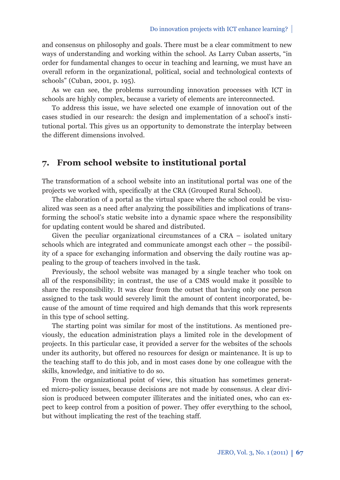and consensus on philosophy and goals. There must be a clear commitment to new ways of understanding and working within the school. As Larry Cuban asserts, "in order for fundamental changes to occur in teaching and learning, we must have an overall reform in the organizational, political, social and technological contexts of schools" (Cuban, 2001, p. 195).

As we can see, the problems surrounding innovation processes with ICT in schools are highly complex, because a variety of elements are interconnected.

To address this issue, we have selected one example of innovation out of the cases studied in our research: the design and implementation of a school's institutional portal. This gives us an opportunity to demonstrate the interplay between the different dimensions involved.

## **7. From school website to institutional portal**

The transformation of a school website into an institutional portal was one of the projects we worked with, specifically at the CRA (Grouped Rural School).

The elaboration of a portal as the virtual space where the school could be visualized was seen as a need after analyzing the possibilities and implications of transforming the school's static website into a dynamic space where the responsibility for updating content would be shared and distributed.

Given the peculiar organizational circumstances of a CRA – isolated unitary schools which are integrated and communicate amongst each other – the possibility of a space for exchanging information and observing the daily routine was appealing to the group of teachers involved in the task.

Previously, the school website was managed by a single teacher who took on all of the responsibility; in contrast, the use of a CMS would make it possible to share the responsibility. It was clear from the outset that having only one person assigned to the task would severely limit the amount of content incorporated, because of the amount of time required and high demands that this work represents in this type of school setting.

The starting point was similar for most of the institutions. As mentioned previously, the education administration plays a limited role in the development of projects. In this particular case, it provided a server for the websites of the schools under its authority, but offered no resources for design or maintenance. It is up to the teaching staff to do this job, and in most cases done by one colleague with the skills, knowledge, and initiative to do so.

From the organizational point of view, this situation has sometimes generated micro-policy issues, because decisions are not made by consensus. A clear division is produced between computer illiterates and the initiated ones, who can expect to keep control from a position of power. They offer everything to the school, but without implicating the rest of the teaching staff.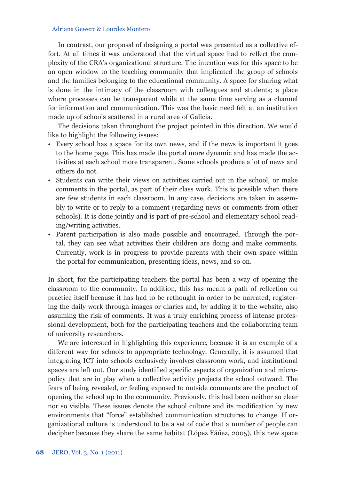In contrast, our proposal of designing a portal was presented as a collective effort. At all times it was understood that the virtual space had to reflect the complexity of the CRA's organizational structure. The intention was for this space to be an open window to the teaching community that implicated the group of schools and the families belonging to the educational community. A space for sharing what is done in the intimacy of the classroom with colleagues and students; a place where processes can be transparent while at the same time serving as a channel for information and communication. This was the basic need felt at an institution made up of schools scattered in a rural area of Galicia.

The decisions taken throughout the project pointed in this direction. We would like to highlight the following issues:

- Every school has a space for its own news, and if the news is important it goes to the home page. This has made the portal more dynamic and has made the activities at each school more transparent. Some schools produce a lot of news and others do not.
- Students can write their views on activities carried out in the school, or make comments in the portal, as part of their class work. This is possible when there are few students in each classroom. In any case, decisions are taken in assembly to write or to reply to a comment (regarding news or comments from other schools). It is done jointly and is part of pre-school and elementary school reading/writing activities.
- Parent participation is also made possible and encouraged. Through the portal, they can see what activities their children are doing and make comments. Currently, work is in progress to provide parents with their own space within the portal for communication, presenting ideas, news, and so on.

In short, for the participating teachers the portal has been a way of opening the classroom to the community. In addition, this has meant a path of reflection on practice itself because it has had to be rethought in order to be narrated, registering the daily work through images or diaries and, by adding it to the website, also assuming the risk of comments. It was a truly enriching process of intense professional development, both for the participating teachers and the collaborating team of university researchers.

We are interested in highlighting this experience, because it is an example of a different way for schools to appropriate technology. Generally, it is assumed that integrating ICT into schools exclusively involves classroom work, and institutional spaces are left out. Our study identified specific aspects of organization and micropolicy that are in play when a collective activity projects the school outward. The fears of being revealed, or feeling exposed to outside comments are the product of opening the school up to the community. Previously, this had been neither so clear nor so visible. These issues denote the school culture and its modification by new environments that "force" established communication structures to change. If organizational culture is understood to be a set of code that a number of people can decipher because they share the same habitat (López Yáñez, 2005), this new space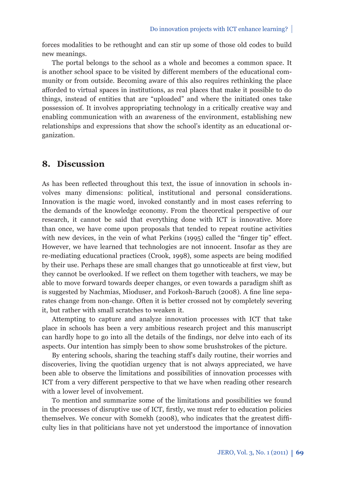forces modalities to be rethought and can stir up some of those old codes to build new meanings.

The portal belongs to the school as a whole and becomes a common space. It is another school space to be visited by different members of the educational community or from outside. Becoming aware of this also requires rethinking the place afforded to virtual spaces in institutions, as real places that make it possible to do things, instead of entities that are "uploaded" and where the initiated ones take possession of. It involves appropriating technology in a critically creative way and enabling communication with an awareness of the environment, establishing new relationships and expressions that show the school's identity as an educational organization.

### **8. Discussion**

As has been reflected throughout this text, the issue of innovation in schools involves many dimensions: political, institutional and personal considerations. Innovation is the magic word, invoked constantly and in most cases referring to the demands of the knowledge economy. From the theoretical perspective of our research, it cannot be said that everything done with ICT is innovative. More than once, we have come upon proposals that tended to repeat routine activities with new devices, in the vein of what Perkins  $(1995)$  called the "finger tip" effect. However, we have learned that technologies are not innocent. Insofar as they are re-mediating educational practices (Crook, 1998), some aspects are being modified by their use. Perhaps these are small changes that go unnoticeable at first view, but they cannot be overlooked. If we reflect on them together with teachers, we may be able to move forward towards deeper changes, or even towards a paradigm shift as is suggested by Nachmias, Mioduser, and Forkosh-Baruch (2008). A fine line separates change from non-change. Often it is better crossed not by completely severing it, but rather with small scratches to weaken it.

Attempting to capture and analyze innovation processes with ICT that take place in schools has been a very ambitious research project and this manuscript can hardly hope to go into all the details of the findings, nor delve into each of its aspects. Our intention has simply been to show some brushstrokes of the picture.

By entering schools, sharing the teaching staff's daily routine, their worries and discoveries, living the quotidian urgency that is not always appreciated, we have been able to observe the limitations and possibilities of innovation processes with ICT from a very different perspective to that we have when reading other research with a lower level of involvement.

To mention and summarize some of the limitations and possibilities we found in the processes of disruptive use of ICT, firstly, we must refer to education policies themselves. We concur with Somekh (2008), who indicates that the greatest difficulty lies in that politicians have not yet understood the importance of innovation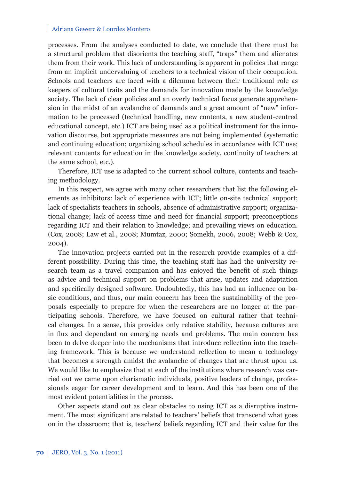processes. From the analyses conducted to date, we conclude that there must be a structural problem that disorients the teaching staff, "traps" them and alienates them from their work. This lack of understanding is apparent in policies that range from an implicit undervaluing of teachers to a technical vision of their occupation. Schools and teachers are faced with a dilemma between their traditional role as keepers of cultural traits and the demands for innovation made by the knowledge society. The lack of clear policies and an overly technical focus generate apprehension in the midst of an avalanche of demands and a great amount of "new" information to be processed (technical handling, new contents, a new student-centred educational concept, etc.) ICT are being used as a political instrument for the innovation discourse, but appropriate measures are not being implemented (systematic and continuing education; organizing school schedules in accordance with ICT use; relevant contents for education in the knowledge society, continuity of teachers at the same school, etc.).

Therefore, ICT use is adapted to the current school culture, contents and teaching methodology.

In this respect, we agree with many other researchers that list the following elements as inhibitors: lack of experience with ICT; little on-site technical support; lack of specialists teachers in schools, absence of administrative support; organizational change; lack of access time and need for financial support; preconceptions regarding ICT and their relation to knowledge; and prevailing views on education. (Cox, 2008; Law et al., 2008; Mumtaz, 2000; Somekh, 2006, 2008; Webb & Cox, 2004).

The innovation projects carried out in the research provide examples of a different possibility. During this time, the teaching staff has had the university research team as a travel companion and has enjoyed the benefit of such things as advice and technical support on problems that arise, updates and adaptation and specifically designed software. Undoubtedly, this has had an influence on basic conditions, and thus, our main concern has been the sustainability of the proposals especially to prepare for when the researchers are no longer at the participating schools. Therefore, we have focused on cultural rather that technical changes. In a sense, this provides only relative stability, because cultures are in flux and dependant on emerging needs and problems. The main concern has been to delve deeper into the mechanisms that introduce reflection into the teaching framework. This is because we understand reflection to mean a technology that becomes a strength amidst the avalanche of changes that are thrust upon us. We would like to emphasize that at each of the institutions where research was carried out we came upon charismatic individuals, positive leaders of change, professionals eager for career development and to learn. And this has been one of the most evident potentialities in the process.

Other aspects stand out as clear obstacles to using ICT as a disruptive instrument. The most significant are related to teachers' beliefs that transcend what goes on in the classroom; that is, teachers' beliefs regarding ICT and their value for the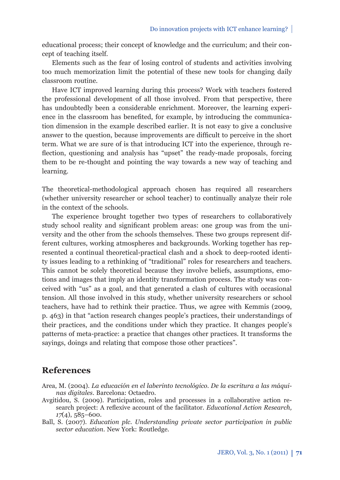educational process; their concept of knowledge and the curriculum; and their concept of teaching itself.

Elements such as the fear of losing control of students and activities involving too much memorization limit the potential of these new tools for changing daily classroom routine.

Have ICT improved learning during this process? Work with teachers fostered the professional development of all those involved. From that perspective, there has undoubtedly been a considerable enrichment. Moreover, the learning experience in the classroom has benefited, for example, by introducing the communication dimension in the example described earlier. It is not easy to give a conclusive answer to the question, because improvements are difficult to perceive in the short term. What we are sure of is that introducing ICT into the experience, through reflection, questioning and analysis has "upset" the ready-made proposals, forcing them to be re-thought and pointing the way towards a new way of teaching and learning.

The theoretical-methodological approach chosen has required all researchers (whether university researcher or school teacher) to continually analyze their role in the context of the schools.

The experience brought together two types of researchers to collaboratively study school reality and significant problem areas: one group was from the university and the other from the schools themselves. These two groups represent different cultures, working atmospheres and backgrounds. Working together has represented a continual theoretical-practical clash and a shock to deep-rooted identity issues leading to a rethinking of "traditional" roles for researchers and teachers. This cannot be solely theoretical because they involve beliefs, assumptions, emotions and images that imply an identity transformation process. The study was conceived with "us" as a goal, and that generated a clash of cultures with occasional tension. All those involved in this study, whether university researchers or school teachers, have had to rethink their practice. Thus, we agree with Kemmis (2009, p. 463) in that "action research changes people's practices, their understandings of their practices, and the conditions under which they practice. It changes people's patterns of meta-practice: a practice that changes other practices. It transforms the sayings, doings and relating that compose those other practices".

### **References**

- Area, M. (2004). *La educación en el laberinto tecnológico. De la escritura a las máquinas digitales*. Barcelona: Octaedro.
- Avgitidou, S. (2009). Participation, roles and processes in a collaborative action research project: A reflexive account of the facilitator. *Educational Action Research*, *17*(4), 585–600.
- Ball, S. (2007). *Education plc. Understanding private sector participation in public sector education*. New York: Routledge.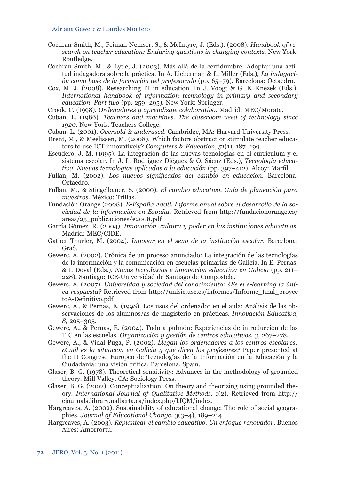- Cochran-Smith, M., Feiman-Nemser, S., & McIntyre, J. (Eds.). (2008). *Handbook of research on teacher education: Enduring questions in changing contexts.* New York: Routledge.
- Cochran-Smith, M., & Lytle, J. (2003). Más allá de la certidumbre: Adoptar una actitud indagadora sobre la práctica. In A. Lieberman & L. Miller (Eds.), *La indagación como base de la formación del profesorado* (pp. 65–79). Barcelona: Octaedro.
- Cox, M. J. (2008). Researching IT in education. In J. Voogt & G. E. Knezek (Eds.), *International handbook of information technology in primary and secondary education. Part two* (pp. 259–295). New York: Springer.
- Crook, C. (1998). *Ordenadores y aprendizaje colaborativo*. Madrid: MEC/Morata.
- Cuban, L. (1986). *Teachers and machines. The classroom used of technology since 1920*. New York: Teachers College.
- Cuban, L. (2001). *Oversold & underused*. Cambridge, MA: Harvard University Press.
- Drent, M., & Meelissen, M. (2008). Which factors obstruct or stimulate teacher educators to use ICT innovatively? *Computers & Education*, *51*(1)*,* 187–199.
- Escudero, J. M. (1995). La integración de las nuevas tecnologías en el curriculum y el sistema escolar. In J. L. Rodríguez Diéguez & O. Sáenz (Eds.), *Tecnología educativa. Nuevas tecnologías aplicadas a la educación* (pp. 397–412). Alcoy: Marfil.
- Fullan, M. (2002). Los nuevos significados del cambio en educación. Barcelona: Octaedro.
- Fullan, M., & Stiegelbauer, S. (2000). *El cambio educativo. Guía de planeación para maestros*. México: Trillas.
- Fundación Orange (2008). *E-España 2008. Informe anual sobre el desarrollo de la sociedad de la información en España.* Retrieved from http://fundacionorange.es/ areas/25\_publicaciones/e2008.pdf
- García Gómez, R. (2004). *Innovación, cultura y poder en las instituciones educativas.* Madrid: MEC/CIDE.
- Gather Thurler, M. (2004). *Innovar en el seno de la institución escolar.* Barcelona: Graó.
- Gewerc, A. (2002). Crónica de un proceso anunciado: La integración de las tecnologías de la información y la comunicación en escuelas primarias de Galicia. In E. Pernas, & I. Doval (Eds.), *Novas tecnoloxías e innovación educativa en Galicia* (pp. 211– 228). Santiago: ICE-Universidad de Santiago de Compostela*.*
- Gewerc, A. (2007). *Universidad y sociedad del conocimiento: ¿Es el e-learning la única respuesta?* Retrieved from http://unisic.usc.es/informes/Informe\_final\_proyec toA-Definitivo.pdf
- Gewerc, A., & Pernas, E. (1998). Los usos del ordenador en el aula: Análisis de las observaciones de los alumnos/as de magisterio en prácticas. *Innovación Educativa, 8,* 295–305.
- Gewerc, A., & Pernas, E. (2004). Todo a pulmón: Experiencias de introducción de las TIC en las escuelas. *Organización y gestión de centros educativos*, *3*, 267–278.
- Gewerc, A., & Vidal-Puga, P. (2002). *Llegan los ordenadores a los centros escolares: ¿Cuál es la situación en Galicia y qué dicen los profesores?* Paper presented at the II Congreso Europeo de Tecnologías de la Información en la Educación y la Ciudadanía: una visión crítica, Barcelona, Spain.
- Glaser, B. G. (1978). Theoretical sensitivity: Advances in the methodology of grounded theory. Mill Valley, CA: Sociology Press.
- Glaser, B. G. (2002). Conceptualization: On theory and theorizing using grounded theory. *International Journal of Qualitative Methods, 1*(2). Retrieved from http:// ejournals.library.ualberta.ca/index.php/IJQM/index.
- Hargreaves, A. (2002). Sustainability of educational change: The role of social geographies. *Journal of Educational Change, 3*(3–4), 189–214.
- Hargreaves, A. (2003). *Replantear el cambio educativo. Un enfoque renovador*. Buenos Aires: Amorrortu.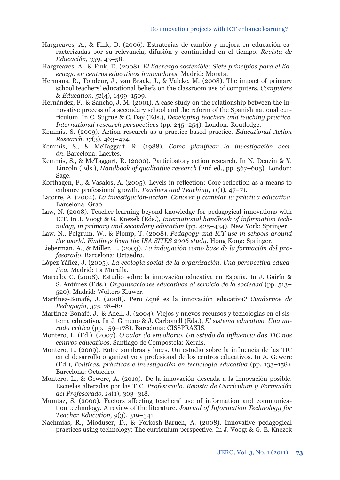- Hargreaves, A., & Fink, D. (2006). Estrategias de cambio y mejora en educación caracterizadas por su relevancia, difusión y continuidad en el tiempo. *Revista de Educación, 339*, 43–58.
- Hargreaves, A., & Fink, D. (2008). *El liderazgo sostenible: Siete principios para el liderazgo en centros educativos innovadores*. Madrid: Morata.
- Hermans, R., Tondeur, J., van Braak, J., & Valcke, M. (2008). The impact of primary school teachers' educational beliefs on the classroom use of computers*. Computers & Education, 51*(4), 1499–1509.
- Hernández, F., & Sancho, J. M. (2001). A case study on the relationship between the innovative process of a secondary school and the reform of the Spanish national curriculum. In C. Sugrue & C. Day (Eds.), *Developing teachers and teaching practice. International research perspectives* (pp. 245–254). London: Routledge.
- Kemmis, S. (2009). Action research as a practice-based practice. *Educational Action Research, 17*(3), 463–474.
- Kemmis, S., & McTaggart, R. (1988). *Como planificar la investigación acción*. Barcelona: Laertes.
- Kemmis, S., & McTaggart, R. (2000). Participatory action research. In N. Denzin & Y. Lincoln (Eds.), *Handbook of qualitative research* (2nd ed., pp. 567–605). London: Sage.
- Korthagen, F., & Vasalos, A. (2005). Levels in reflection: Core reflection as a means to enhance professional growth. *Teachers and Teaching, 11*(1), 47–71.
- Latorre, A. (2004). *La investigación-acción. Conocer y cambiar la práctica educativa*. Barcelona: Graó
- Law, N. (2008). Teacher learning beyond knowledge for pedagogical innovations with ICT. In J. Voogt & G. Knezek (Eds.), *International handbook of information technology in primary and secondary education* (pp. 425–434). New York: Springer.
- Law, N., Pelgrum, W., & Plomp, T. (2008). *Pedagogy and ICT use in schools around the world. Findings from the IEA SITES 2006 study*. Hong Kong: Springer.
- Lieberman, A., & Miller, L. (2003). *La indagación como base de la formación del profesorado.* Barcelona: Octaedro.
- López Yáñez, J. (2005). *La ecología social de la organización. Una perspectiva educativa.* Madrid: La Muralla.
- Marcelo, C. (2008). Estudio sobre la innovación educativa en España. In J. Gairín & S. Antúnez (Eds.), *Organizaciones educativas al servicio de la sociedad* (pp. 513– 520). Madrid: Wolters Kluwer.
- Martínez-Bonafé, J. (2008). Pero ¿qué es la innovación educativa*? Cuadernos de Pedagogía*, *375*, 78–82.
- Martínez-Bonafé, J., & Adell, J. (2004). Viejos y nuevos recursos y tecnologías en el sistema educativo. In J. Gimeno & J. Carbonell (Eds.), *El sistema educativo. Una mirada crítica* (pp. 159–178). Barcelona: CISSPRAXIS.
- Montero, L. (Ed.). (2007). *O valor do envoltorio. Un estudo da influencia das TIC nos centros educativos*. Santiago de Compostela: Xerais.
- Montero, L. (2009). Entre sombras y luces. Un estudio sobre la influencia de las TIC en el desarrollo organizativo y profesional de los centros educativos. In A. Gewerc (Ed.), *Políticas, prácticas e investigación en tecnología educativa* (pp. 133–158). Barcelona: Octaedro.
- Montero, L., & Gewerc, A. (2010). De la innovación deseada a la innovación posible. Escuelas alteradas por las TIC*. Profesorado. Revista de Curriculum y Formación del Profesorado, 14*(1), 303–318.
- Mumtaz, S. (2000). Factors affecting teachers' use of information and communication technology. A review of the literature. *Journal of Information Technology for Teacher Education, 9*(3), 319–341.
- Nachmias, R., Mioduser, D., & Forkosh-Baruch, A. (2008). Innovative pedagogical practices using technology: The curriculum perspective. In J. Voogt & G. E. Knezek